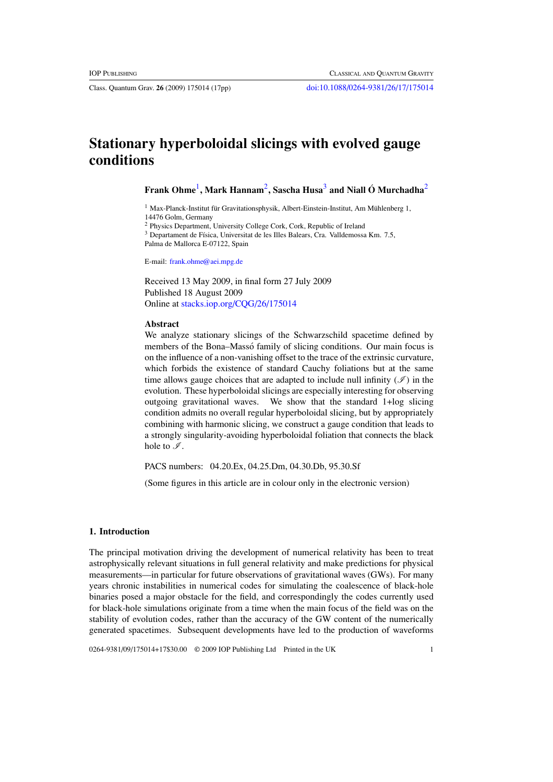Class. Quantum Grav. **26** (2009) 175014 (17pp) [doi:10.1088/0264-9381/26/17/175014](http://dx.doi.org/10.1088/0264-9381/26/17/175014)

# **Stationary hyperboloidal slicings with evolved gauge conditions**

**Frank Ohme**1**, Mark Hannam**2**, Sascha Husa**<sup>3</sup> **and Niall O Murchadha ´** <sup>2</sup>

 $1$  Max-Planck-Institut für Gravitationsphysik, Albert-Einstein-Institut, Am Mühlenberg 1, 14476 Golm, Germany

<sup>2</sup> Physics Department, University College Cork, Cork, Republic of Ireland

<sup>3</sup> Departament de Física, Universitat de les Illes Balears, Cra. Valldemossa Km. 7.5, Palma de Mallorca E-07122, Spain

E-mail: [frank.ohme@aei.mpg.de](mailto:frank.ohme@aei.mpg.de)

Received 13 May 2009, in final form 27 July 2009 Published 18 August 2009 Online at [stacks.iop.org/CQG/26/175014](http://stacks.iop.org/CQG/26/175014)

## **Abstract**

We analyze stationary slicings of the Schwarzschild spacetime defined by members of the Bona–Massó family of slicing conditions. Our main focus is on the influence of a non-vanishing offset to the trace of the extrinsic curvature, which forbids the existence of standard Cauchy foliations but at the same time allows gauge choices that are adapted to include null infinity  $(\mathcal{I})$  in the evolution. These hyperboloidal slicings are especially interesting for observing outgoing gravitational waves. We show that the standard 1+log slicing condition admits no overall regular hyperboloidal slicing, but by appropriately combining with harmonic slicing, we construct a gauge condition that leads to a strongly singularity-avoiding hyperboloidal foliation that connects the black hole to  $\mathscr{I}$ .

PACS numbers: 04.20.Ex, 04.25.Dm, 04.30.Db, 95.30.Sf

(Some figures in this article are in colour only in the electronic version)

#### **1. Introduction**

The principal motivation driving the development of numerical relativity has been to treat astrophysically relevant situations in full general relativity and make predictions for physical measurements—in particular for future observations of gravitational waves (GWs). For many years chronic instabilities in numerical codes for simulating the coalescence of black-hole binaries posed a major obstacle for the field, and correspondingly the codes currently used for black-hole simulations originate from a time when the main focus of the field was on the stability of evolution codes, rather than the accuracy of the GW content of the numerically generated spacetimes. Subsequent developments have led to the production of waveforms

0264-9381/09/175014+17\$30.00 © 2009 IOP Publishing Ltd Printed in the UK 1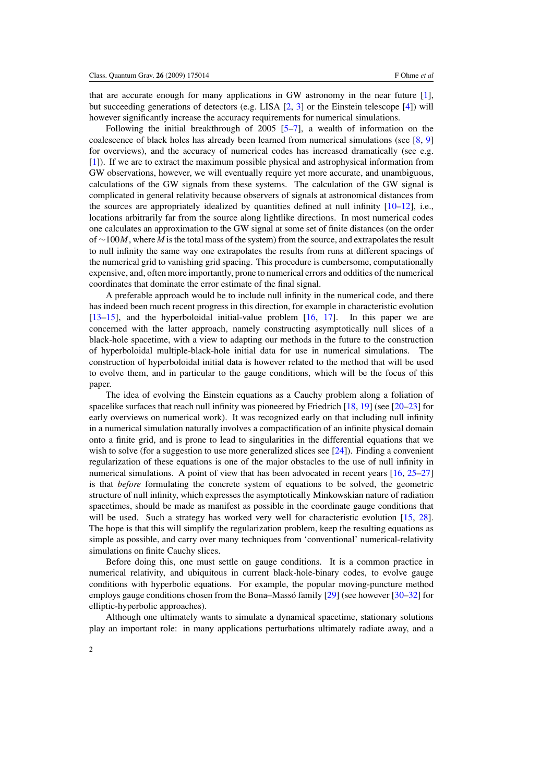that are accurate enough for many applications in GW astronomy in the near future [\[1\]](#page-14-0), but succeeding generations of detectors (e.g. LISA [\[2](#page-14-0), [3\]](#page-14-0) or the Einstein telescope [\[4](#page-14-0)]) will however significantly increase the accuracy requirements for numerical simulations.

Following the initial breakthrough of  $2005$  [\[5–7\]](#page-14-0), a wealth of information on the coalescence of black holes has already been learned from numerical simulations (see  $[8, 9]$  $[8, 9]$  $[8, 9]$  $[8, 9]$ ) for overviews), and the accuracy of numerical codes has increased dramatically (see e.g. [\[1](#page-14-0)]). If we are to extract the maximum possible physical and astrophysical information from GW observations, however, we will eventually require yet more accurate, and unambiguous, calculations of the GW signals from these systems. The calculation of the GW signal is complicated in general relativity because observers of signals at astronomical distances from the sources are appropriately idealized by quantities defined at null infinity  $[10-12]$  $[10-12]$ , i.e., locations arbitrarily far from the source along lightlike directions. In most numerical codes one calculates an approximation to the GW signal at some set of finite distances (on the order of ∼100*M*, where *M* is the total mass of the system) from the source, and extrapolates the result to null infinity the same way one extrapolates the results from runs at different spacings of the numerical grid to vanishing grid spacing. This procedure is cumbersome, computationally expensive, and, often more importantly, prone to numerical errors and oddities of the numerical coordinates that dominate the error estimate of the final signal.

A preferable approach would be to include null infinity in the numerical code, and there has indeed been much recent progress in this direction, for example in characteristic evolution [\[13–15](#page-15-0)], and the hyperboloidal initial-value problem [\[16](#page-15-0), [17](#page-15-0)]. In this paper we are concerned with the latter approach, namely constructing asymptotically null slices of a black-hole spacetime, with a view to adapting our methods in the future to the construction of hyperboloidal multiple-black-hole initial data for use in numerical simulations. The construction of hyperboloidal initial data is however related to the method that will be used to evolve them, and in particular to the gauge conditions, which will be the focus of this paper.

The idea of evolving the Einstein equations as a Cauchy problem along a foliation of spacelike surfaces that reach null infinity was pioneered by Friedrich [\[18,](#page-15-0) [19](#page-15-0)] (see [\[20–23](#page-15-0)] for early overviews on numerical work). It was recognized early on that including null infinity in a numerical simulation naturally involves a compactification of an infinite physical domain onto a finite grid, and is prone to lead to singularities in the differential equations that we wish to solve (for a suggestion to use more generalized slices see  $[24]$  $[24]$ ). Finding a convenient regularization of these equations is one of the major obstacles to the use of null infinity in numerical simulations. A point of view that has been advocated in recent years [\[16,](#page-15-0) [25–27](#page-15-0)] is that *before* formulating the concrete system of equations to be solved, the geometric structure of null infinity, which expresses the asymptotically Minkowskian nature of radiation spacetimes, should be made as manifest as possible in the coordinate gauge conditions that will be used. Such a strategy has worked very well for characteristic evolution [\[15](#page-15-0), [28\]](#page-15-0). The hope is that this will simplify the regularization problem, keep the resulting equations as simple as possible, and carry over many techniques from 'conventional' numerical-relativity simulations on finite Cauchy slices.

Before doing this, one must settle on gauge conditions. It is a common practice in numerical relativity, and ubiquitous in current black-hole-binary codes, to evolve gauge conditions with hyperbolic equations. For example, the popular moving-puncture method employs gauge conditions chosen from the Bona–Masso family  $[29]$  $[29]$  $[29]$  (see however  $[30-32]$  for elliptic-hyperbolic approaches).

Although one ultimately wants to simulate a dynamical spacetime, stationary solutions play an important role: in many applications perturbations ultimately radiate away, and a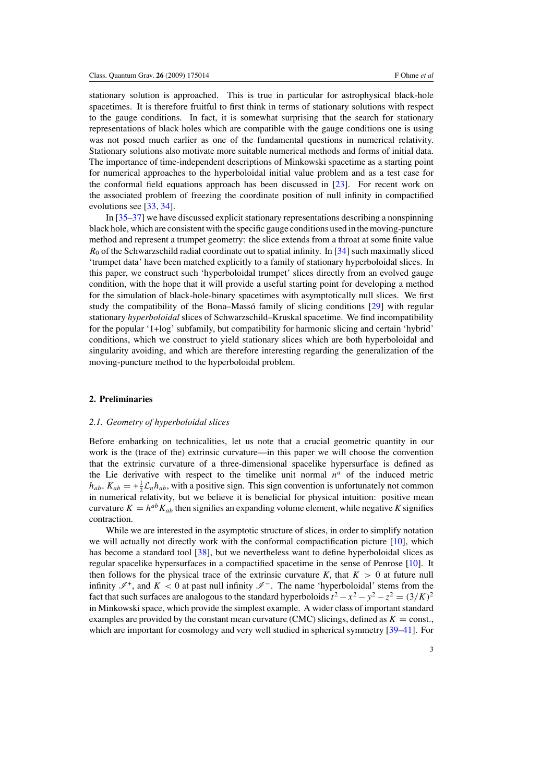stationary solution is approached. This is true in particular for astrophysical black-hole spacetimes. It is therefore fruitful to first think in terms of stationary solutions with respect to the gauge conditions. In fact, it is somewhat surprising that the search for stationary representations of black holes which are compatible with the gauge conditions one is using was not posed much earlier as one of the fundamental questions in numerical relativity. Stationary solutions also motivate more suitable numerical methods and forms of initial data. The importance of time-independent descriptions of Minkowski spacetime as a starting point for numerical approaches to the hyperboloidal initial value problem and as a test case for the conformal field equations approach has been discussed in [\[23\]](#page-15-0). For recent work on the associated problem of freezing the coordinate position of null infinity in compactified evolutions see [\[33,](#page-15-0) [34\]](#page-15-0).

In [\[35–37](#page-15-0)] we have discussed explicit stationary representations describing a nonspinning black hole, which are consistent with the specific gauge conditions used in the moving-puncture method and represent a trumpet geometry: the slice extends from a throat at some finite value *R*<sub>0</sub> of the Schwarzschild radial coordinate out to spatial infinity. In [\[34\]](#page-15-0) such maximally sliced 'trumpet data' have been matched explicitly to a family of stationary hyperboloidal slices. In this paper, we construct such 'hyperboloidal trumpet' slices directly from an evolved gauge condition, with the hope that it will provide a useful starting point for developing a method for the simulation of black-hole-binary spacetimes with asymptotically null slices. We first study the compatibility of the Bona–Masso family of slicing conditions  $[29]$  $[29]$  with regular stationary *hyperboloidal* slices of Schwarzschild–Kruskal spacetime. We find incompatibility for the popular '1+log' subfamily, but compatibility for harmonic slicing and certain 'hybrid' conditions, which we construct to yield stationary slices which are both hyperboloidal and singularity avoiding, and which are therefore interesting regarding the generalization of the moving-puncture method to the hyperboloidal problem.

#### **2. Preliminaries**

#### *2.1. Geometry of hyperboloidal slices*

Before embarking on technicalities, let us note that a crucial geometric quantity in our work is the (trace of the) extrinsic curvature—in this paper we will choose the convention that the extrinsic curvature of a three-dimensional spacelike hypersurface is defined as the Lie derivative with respect to the timelike unit normal  $n^a$  of the induced metric  $h_{ab}$ ,  $K_{ab} = +\frac{1}{2}\mathcal{L}_n h_{ab}$ , with a positive sign. This sign convention is unfortunately not common in numerical relativity, but we believe it is beneficial for physical intuition: positive mean curvature  $K = h^{ab} K_{ab}$  then signifies an expanding volume element, while negative K signifies contraction.

While we are interested in the asymptotic structure of slices, in order to simplify notation we will actually not directly work with the conformal compactification picture [\[10\]](#page-14-0), which has become a standard tool [\[38\]](#page-15-0), but we nevertheless want to define hyperboloidal slices as regular spacelike hypersurfaces in a compactified spacetime in the sense of Penrose [\[10\]](#page-14-0). It then follows for the physical trace of the extrinsic curvature  $K$ , that  $K > 0$  at future null infinity  $\mathscr{I}^+$ , and  $K < 0$  at past null infinity  $\mathscr{I}^-$ . The name 'hyperboloidal' stems from the fact that such surfaces are analogous to the standard hyperboloids  $t^2 - x^2 - y^2 - z^2 = (3/K)^2$ in Minkowski space, which provide the simplest example. A wider class of important standard examples are provided by the constant mean curvature (CMC) slicings, defined as  $K = \text{const.}$ , which are important for cosmology and very well studied in spherical symmetry [\[39–41\]](#page-15-0). For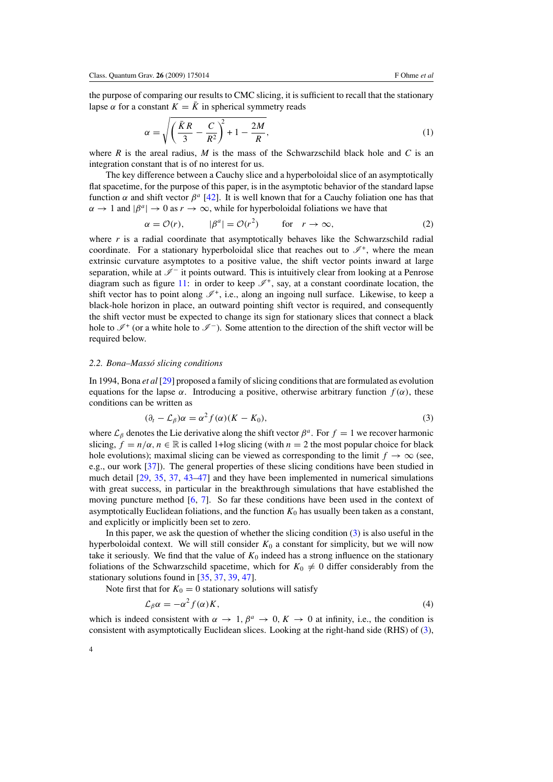<span id="page-3-0"></span>the purpose of comparing our results to CMC slicing, it is sufficient to recall that the stationary lapse  $\alpha$  for a constant  $K = \overline{K}$  in spherical symmetry reads

$$
\alpha = \sqrt{\left(\frac{\bar{K}R}{3} - \frac{C}{R^2}\right)^2 + 1 - \frac{2M}{R}},\tag{1}
$$

where *R* is the areal radius, *M* is the mass of the Schwarzschild black hole and *C* is an integration constant that is of no interest for us.

The key difference between a Cauchy slice and a hyperboloidal slice of an asymptotically flat spacetime, for the purpose of this paper, is in the asymptotic behavior of the standard lapse function *α* and shift vector *β<sup>a</sup>* [\[42](#page-15-0)]. It is well known that for a Cauchy foliation one has that  $\alpha \to 1$  and  $|\beta^a| \to 0$  as  $r \to \infty$ , while for hyperboloidal foliations we have that

$$
\alpha = \mathcal{O}(r), \qquad |\beta^a| = \mathcal{O}(r^2) \qquad \text{for} \quad r \to \infty,
$$
 (2)

where  $r$  is a radial coordinate that asymptotically behaves like the Schwarzschild radial coordinate. For a stationary hyperboloidal slice that reaches out to  $\mathscr{I}^+$ , where the mean extrinsic curvature asymptotes to a positive value, the shift vector points inward at large separation, while at  $\mathcal{I}^-$  it points outward. This is intuitively clear from looking at a Penrose diagram such as figure [11:](#page-12-0) in order to keep  $\mathscr{I}^+$ , say, at a constant coordinate location, the shift vector has to point along  $\mathcal{I}^+$ , i.e., along an ingoing null surface. Likewise, to keep a black-hole horizon in place, an outward pointing shift vector is required, and consequently the shift vector must be expected to change its sign for stationary slices that connect a black hole to  $\mathscr{I}^+$  (or a white hole to  $\mathscr{I}^-$ ). Some attention to the direction of the shift vector will be required below.

#### *2.2. Bona–Masso slicing conditions ´*

In 1994, Bona *et al* [\[29\]](#page-15-0) proposed a family of slicing conditions that are formulated as evolution equations for the lapse  $\alpha$ . Introducing a positive, otherwise arbitrary function  $f(\alpha)$ , these conditions can be written as

$$
(\partial_t - \mathcal{L}_\beta)\alpha = \alpha^2 f(\alpha)(K - K_0),\tag{3}
$$

where  $\mathcal{L}_{\beta}$  denotes the Lie derivative along the shift vector  $\beta^a$ . For  $f = 1$  we recover harmonic slicing,  $f = n/\alpha$ ,  $n \in \mathbb{R}$  is called 1+log slicing (with  $n = 2$  the most popular choice for black hole evolutions); maximal slicing can be viewed as corresponding to the limit  $f \rightarrow \infty$  (see, e.g., our work [\[37](#page-15-0)]). The general properties of these slicing conditions have been studied in much detail [\[29](#page-15-0), [35,](#page-15-0) [37,](#page-15-0) [43](#page-15-0)[–47\]](#page-16-0) and they have been implemented in numerical simulations with great success, in particular in the breakthrough simulations that have established the moving puncture method  $[6, 7]$  $[6, 7]$  $[6, 7]$  $[6, 7]$ . So far these conditions have been used in the context of asymptotically Euclidean foliations, and the function  $K_0$  has usually been taken as a constant, and explicitly or implicitly been set to zero.

In this paper, we ask the question of whether the slicing condition  $(3)$  is also useful in the hyperboloidal context. We will still consider  $K_0$  a constant for simplicity, but we will now take it seriously. We find that the value of  $K_0$  indeed has a strong influence on the stationary foliations of the Schwarzschild spacetime, which for  $K_0 \neq 0$  differ considerably from the stationary solutions found in [\[35](#page-15-0), [37](#page-15-0), [39](#page-15-0), [47](#page-16-0)].

Note first that for  $K_0 = 0$  stationary solutions will satisfy

$$
\mathcal{L}_{\beta}\alpha = -\alpha^2 f(\alpha)K,\tag{4}
$$

which is indeed consistent with  $\alpha \to 1$ ,  $\beta^a \to 0$ ,  $K \to 0$  at infinity, i.e., the condition is consistent with asymptotically Euclidean slices. Looking at the right-hand side (RHS) of (3),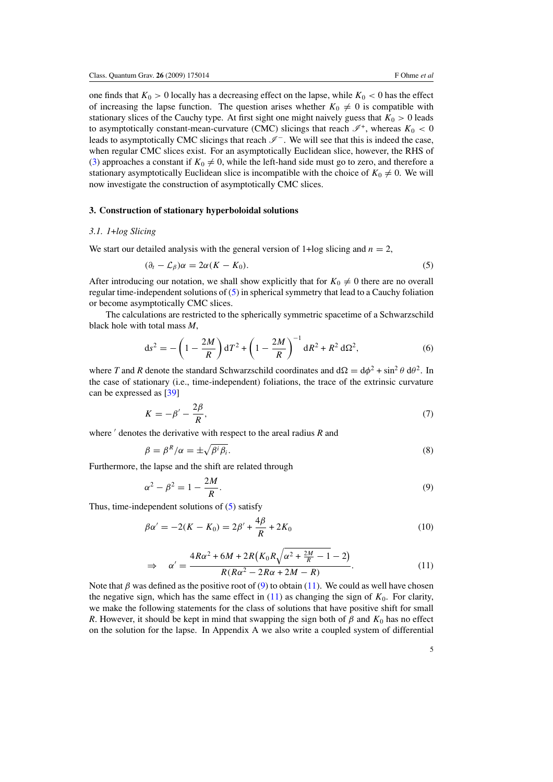<span id="page-4-0"></span>one finds that  $K_0 > 0$  locally has a decreasing effect on the lapse, while  $K_0 < 0$  has the effect of increasing the lapse function. The question arises whether  $K_0 \neq 0$  is compatible with stationary slices of the Cauchy type. At first sight one might naively guess that  $K_0 > 0$  leads to asymptotically constant-mean-curvature (CMC) slicings that reach  $\mathscr{I}^+$ , whereas  $K_0 < 0$ leads to asymptotically CMC slicings that reach  $\mathscr{I}^-$ . We will see that this is indeed the case, when regular CMC slices exist. For an asymptotically Euclidean slice, however, the RHS of [\(3\)](#page-3-0) approaches a constant if  $K_0 \neq 0$ , while the left-hand side must go to zero, and therefore a stationary asymptotically Euclidean slice is incompatible with the choice of  $K_0 \neq 0$ . We will now investigate the construction of asymptotically CMC slices.

## **3. Construction of stationary hyperboloidal solutions**

#### *3.1. 1*+*log Slicing*

We start our detailed analysis with the general version of  $1 + \log$  slicing and  $n = 2$ ,

$$
(\partial_t - \mathcal{L}_\beta)\alpha = 2\alpha(K - K_0). \tag{5}
$$

After introducing our notation, we shall show explicitly that for  $K_0 \neq 0$  there are no overall regular time-independent solutions of (5) in spherical symmetry that lead to a Cauchy foliation or become asymptotically CMC slices.

The calculations are restricted to the spherically symmetric spacetime of a Schwarzschild black hole with total mass *M*,

$$
ds^{2} = -\left(1 - \frac{2M}{R}\right)dT^{2} + \left(1 - \frac{2M}{R}\right)^{-1}dR^{2} + R^{2}d\Omega^{2},
$$
\n(6)

where *T* and *R* denote the standard Schwarzschild coordinates and  $d\Omega = d\phi^2 + \sin^2 \theta d\theta^2$ . In the case of stationary (i.e., time-independent) foliations, the trace of the extrinsic curvature can be expressed as [\[39\]](#page-15-0)

$$
K = -\beta' - \frac{2\beta}{R},\tag{7}
$$

where  $\prime$  denotes the derivative with respect to the areal radius *R* and

$$
\beta = \beta^R/\alpha = \pm \sqrt{\beta^i \beta_i}.
$$
\n(8)

Furthermore, the lapse and the shift are related through

$$
\alpha^2 - \beta^2 = 1 - \frac{2M}{R}.\tag{9}
$$

Thus, time-independent solutions of (5) satisfy

$$
\beta \alpha' = -2(K - K_0) = 2\beta' + \frac{4\beta}{R} + 2K_0 \tag{10}
$$

$$
\Rightarrow \alpha' = \frac{4R\alpha^2 + 6M + 2R\left(K_0R\sqrt{\alpha^2 + \frac{2M}{R} - 1} - 2\right)}{R(R\alpha^2 - 2R\alpha + 2M - R)}.\tag{11}
$$

Note that  $\beta$  was defined as the positive root of (9) to obtain (11). We could as well have chosen the negative sign, which has the same effect in  $(11)$  as changing the sign of  $K_0$ . For clarity, we make the following statements for the class of solutions that have positive shift for small *R*. However, it should be kept in mind that swapping the sign both of  $\beta$  and  $K_0$  has no effect on the solution for the lapse. In Appendix A we also write a coupled system of differential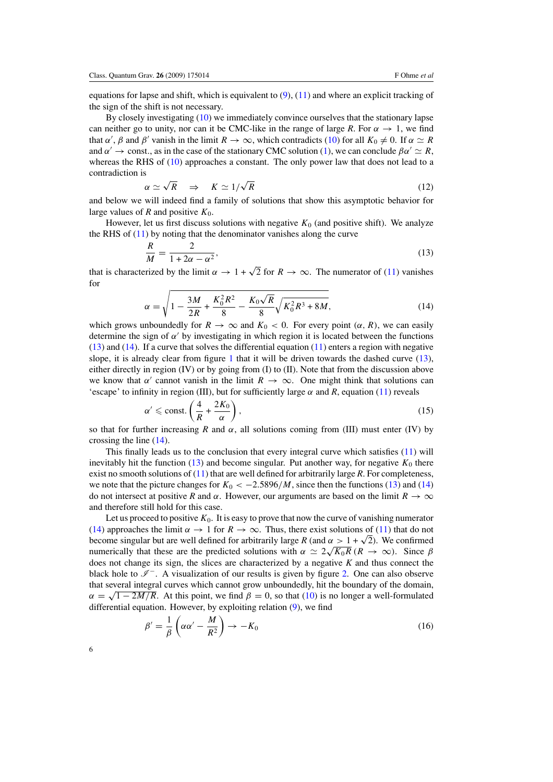<span id="page-5-0"></span>equations for lapse and shift, which is equivalent to  $(9)$ ,  $(11)$  and where an explicit tracking of the sign of the shift is not necessary.

By closely investigating [\(10\)](#page-4-0) we immediately convince ourselves that the stationary lapse can neither go to unity, nor can it be CMC-like in the range of large *R*. For  $\alpha \to 1$ , we find that *α'*, *β* and *β'* vanish in the limit  $R \to \infty$ , which contradicts [\(10\)](#page-4-0) for all  $K_0 \neq 0$ . If  $\alpha \simeq R$ and  $\alpha' \rightarrow$  const., as in the case of the stationary CMC solution [\(1\)](#page-3-0), we can conclude  $\beta \alpha' \simeq R$ , whereas the RHS of [\(10\)](#page-4-0) approaches a constant. The only power law that does not lead to a contradiction is

$$
\alpha \simeq \sqrt{R} \quad \Rightarrow \quad K \simeq 1/\sqrt{R} \tag{12}
$$

and below we will indeed find a family of solutions that show this asymptotic behavior for large values of  $R$  and positive  $K_0$ .

However, let us first discuss solutions with negative  $K_0$  (and positive shift). We analyze the RHS of  $(11)$  by noting that the denominator vanishes along the curve

$$
\frac{R}{M} = \frac{2}{1 + 2\alpha - \alpha^2},\tag{13}
$$

that is characterized by the limit  $\alpha \to 1 + \sqrt{2}$  for  $R \to \infty$ . The numerator of [\(11\)](#page-4-0) vanishes for

$$
\alpha = \sqrt{1 - \frac{3M}{2R} + \frac{K_0^2 R^2}{8} - \frac{K_0 \sqrt{R}}{8} \sqrt{K_0^2 R^3 + 8M}},
$$
\n(14)

which grows unboundedly for  $R \to \infty$  and  $K_0 < 0$ . For every point  $(\alpha, R)$ , we can easily determine the sign of  $\alpha'$  by investigating in which region it is located between the functions (13) and (14). If a curve that solves the differential equation [\(11\)](#page-4-0) enters a region with negative slope, it is already clear from figure [1](#page-6-0) that it will be driven towards the dashed curve  $(13)$ , either directly in region (IV) or by going from (I) to (II). Note that from the discussion above we know that  $\alpha'$  cannot vanish in the limit  $R \to \infty$ . One might think that solutions can 'escape' to infinity in region (III), but for sufficiently large  $\alpha$  and  $R$ , equation [\(11\)](#page-4-0) reveals

$$
\alpha' \le \text{const.} \left( \frac{4}{R} + \frac{2K_0}{\alpha} \right),\tag{15}
$$

so that for further increasing *R* and  $\alpha$ , all solutions coming from (III) must enter (IV) by crossing the line (14).

This finally leads us to the conclusion that every integral curve which satisfies [\(11\)](#page-4-0) will inevitably hit the function  $(13)$  and become singular. Put another way, for negative  $K_0$  there exist no smooth solutions of [\(11\)](#page-4-0) that are well defined for arbitrarily large *R*. For completeness, we note that the picture changes for  $K_0 < -2.5896/M$ , since then the functions (13) and (14) do not intersect at positive *R* and  $\alpha$ . However, our arguments are based on the limit  $R \to \infty$ and therefore still hold for this case.

Let us proceed to positive  $K_0$ . It is easy to prove that now the curve of vanishing numerator (14) approaches the limit  $\alpha \to 1$  for  $R \to \infty$ . Thus, there exist solutions of [\(11\)](#page-4-0) that do not become singular but are well defined for arbitrarily large *R* (and  $\alpha > 1 + \sqrt{2}$ ). We confirmed numerically that these are the predicted solutions with  $\alpha \simeq 2\sqrt{K_0R} (R \to \infty)$ . Since  $\beta$ does not change its sign, the slices are characterized by a negative *K* and thus connect the black hole to  $\mathcal{I}^-$ . A visualization of our results is given by figure [2.](#page-6-0) One can also observe that several integral curves which cannot grow unboundedly, hit the boundary of the domain,  $\alpha = \sqrt{1 - 2M/R}$ . At this point, we find  $\beta = 0$ , so that [\(10\)](#page-4-0) is no longer a well-formulated differential equation. However, by exploiting relation [\(9\)](#page-4-0), we find

$$
\beta' = \frac{1}{\beta} \left( \alpha \alpha' - \frac{M}{R^2} \right) \to -K_0 \tag{16}
$$

6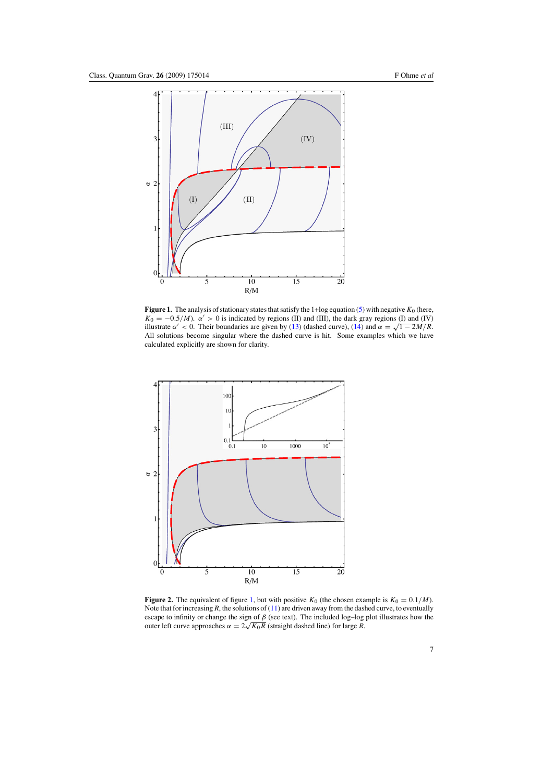<span id="page-6-0"></span>

**Figure 1.** The analysis of stationary states that satisfy the 1+log equation [\(5\)](#page-4-0) with negative  $K_0$  (here,  $K_0 = -0.5/M$ ).  $\alpha' > 0$  is indicated by regions (II) and (III), the dark gray regions (I) and (IV) illustrate  $\alpha' < 0$ . Their boundaries are given by [\(13\)](#page-5-0) (dashed curve), [\(14\)](#page-5-0) and  $\alpha = \sqrt{1 - 2M/R}$ . All solutions become singular where the dashed curve is hit. Some examples which we have calculated explicitly are shown for clarity.



**Figure 2.** The equivalent of figure 1, but with positive  $K_0$  (the chosen example is  $K_0 = 0.1/M$ ). Note that for increasing  $R$ , the solutions of  $(11)$  are driven away from the dashed curve, to eventually escape to infinity or change the sign of *β* (see text). The included log–log plot illustrates how the outer left curve approaches  $\alpha = 2\sqrt{K_0R}$  (straight dashed line) for large *R*.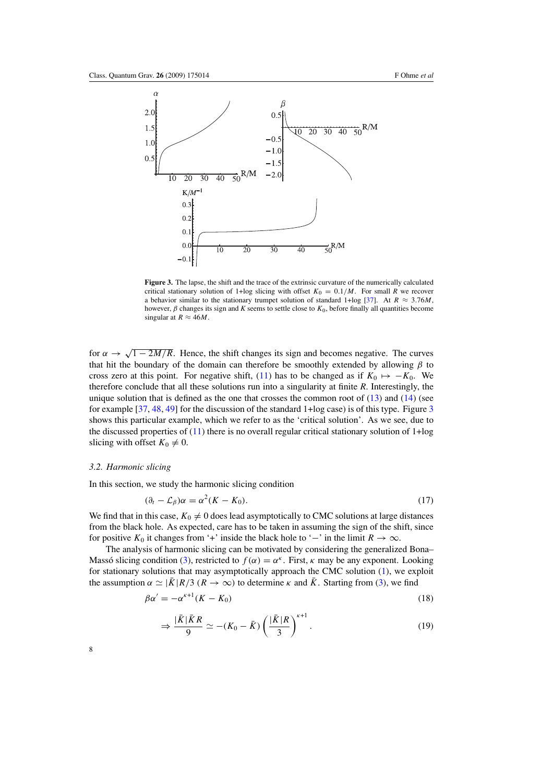<span id="page-7-0"></span>

**Figure 3.** The lapse, the shift and the trace of the extrinsic curvature of the numerically calculated critical stationary solution of 1+log slicing with offset  $K_0 = 0.1/M$ . For small *R* we recover a behavior similar to the stationary trumpet solution of standard 1+log [\[37](#page-15-0)]. At  $R \approx 3.76M$ , however,  $\beta$  changes its sign and *K* seems to settle close to  $K_0$ , before finally all quantities become singular at  $R \approx 46M$ .

for  $\alpha \rightarrow \sqrt{1-2M/R}$ . Hence, the shift changes its sign and becomes negative. The curves that hit the boundary of the domain can therefore be smoothly extended by allowing *β* to cross zero at this point. For negative shift, [\(11\)](#page-4-0) has to be changed as if  $K_0 \mapsto -K_0$ . We therefore conclude that all these solutions run into a singularity at finite *R*. Interestingly, the unique solution that is defined as the one that crosses the common root of  $(13)$  and  $(14)$  (see for example [\[37,](#page-15-0) [48](#page-16-0), [49](#page-16-0)] for the discussion of the standard 1+log case) is of this type. Figure 3 shows this particular example, which we refer to as the 'critical solution'. As we see, due to the discussed properties of  $(11)$  there is no overall regular critical stationary solution of  $1 + log$ slicing with offset  $K_0 \neq 0$ .

#### *3.2. Harmonic slicing*

In this section, we study the harmonic slicing condition

$$
(\partial_t - \mathcal{L}_\beta)\alpha = \alpha^2 (K - K_0). \tag{17}
$$

We find that in this case,  $K_0 \neq 0$  does lead asymptotically to CMC solutions at large distances from the black hole. As expected, care has to be taken in assuming the sign of the shift, since for positive  $K_0$  it changes from '+' inside the black hole to '−' in the limit  $R \to \infty$ .

The analysis of harmonic slicing can be motivated by considering the generalized Bona– Masso slicing condition ([3\)](#page-3-0), restricted to  $f(\alpha) = \alpha^k$ . First, *κ* may be any exponent. Looking for stationary solutions that may asymptotically approach the CMC solution [\(1\)](#page-3-0), we exploit the assumption  $\alpha \simeq |\bar{K}|R/3$  ( $R \to \infty$ ) to determine  $\kappa$  and  $\bar{K}$ . Starting from [\(3\)](#page-3-0), we find

$$
\beta \alpha' = -\alpha^{\kappa+1} (K - K_0) \tag{18}
$$

$$
\Rightarrow \frac{|\bar{K}|\bar{K}R}{9} \simeq -(K_0 - \bar{K}) \left(\frac{|\bar{K}|R}{3}\right)^{k+1}.
$$
 (19)

8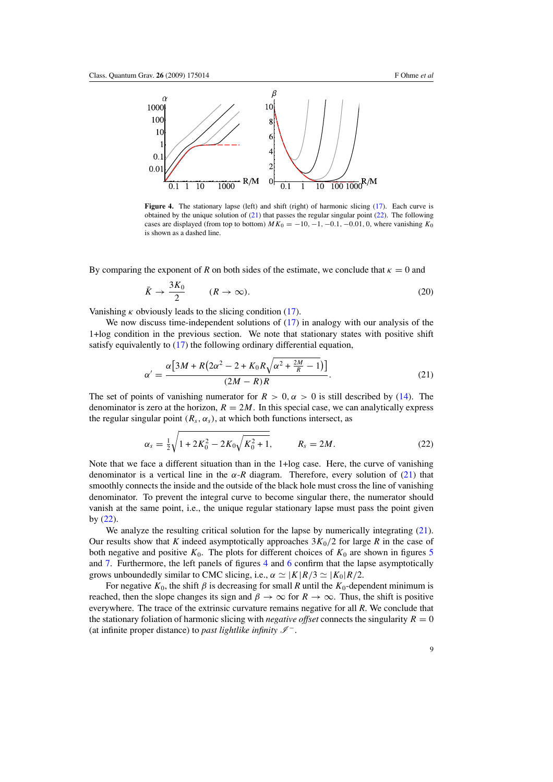<span id="page-8-0"></span>

**Figure 4.** The stationary lapse (left) and shift (right) of harmonic slicing [\(17\)](#page-7-0). Each curve is obtained by the unique solution of (21) that passes the regular singular point (22). The following cases are displayed (from top to bottom)  $MK_0 = -10, -1, -0.1, -0.01, 0$ , where vanishing  $K_0$ is shown as a dashed line.

By comparing the exponent of *R* on both sides of the estimate, we conclude that  $\kappa = 0$  and

$$
\bar{K} \to \frac{3K_0}{2} \qquad (R \to \infty). \tag{20}
$$

Vanishing  $\kappa$  obviously leads to the slicing condition [\(17\)](#page-7-0).

We now discuss time-independent solutions of  $(17)$  in analogy with our analysis of the 1+log condition in the previous section. We note that stationary states with positive shift satisfy equivalently to  $(17)$  the following ordinary differential equation,

$$
\alpha' = \frac{\alpha \left[ 3M + R(2\alpha^2 - 2 + K_0 R \sqrt{\alpha^2 + \frac{2M}{R} - 1}) \right]}{(2M - R)R}.
$$
\n(21)

The set of points of vanishing numerator for  $R > 0, \alpha > 0$  is still described by [\(14\)](#page-5-0). The denominator is zero at the horizon,  $R = 2M$ . In this special case, we can analytically express the regular singular point  $(R_s, \alpha_s)$ , at which both functions intersect, as

$$
\alpha_s = \frac{1}{2} \sqrt{1 + 2K_0^2 - 2K_0 \sqrt{K_0^2 + 1}}, \qquad R_s = 2M.
$$
 (22)

Note that we face a different situation than in the 1+log case. Here, the curve of vanishing denominator is a vertical line in the  $\alpha$ -*R* diagram. Therefore, every solution of (21) that smoothly connects the inside and the outside of the black hole must cross the line of vanishing denominator. To prevent the integral curve to become singular there, the numerator should vanish at the same point, i.e., the unique regular stationary lapse must pass the point given by (22).

We analyze the resulting critical solution for the lapse by numerically integrating (21). Our results show that *K* indeed asymptotically approaches  $3K_0/2$  for large *R* in the case of both negative and positive  $K_0$ . The plots for different choices of  $K_0$  are shown in figures [5](#page-9-0) and [7.](#page-10-0) Furthermore, the left panels of figures 4 and [6](#page-9-0) confirm that the lapse asymptotically grows unboundedly similar to CMC slicing, i.e.,  $\alpha \simeq |K|R/3 \simeq |K_0|R/2$ .

For negative  $K_0$ , the shift  $\beta$  is decreasing for small *R* until the  $K_0$ -dependent minimum is reached, then the slope changes its sign and  $\beta \to \infty$  for  $R \to \infty$ . Thus, the shift is positive everywhere. The trace of the extrinsic curvature remains negative for all *R*. We conclude that the stationary foliation of harmonic slicing with *negative offset* connects the singularity  $R = 0$ (at infinite proper distance) to *past lightlike infinity*  $\mathscr{I}^-$ .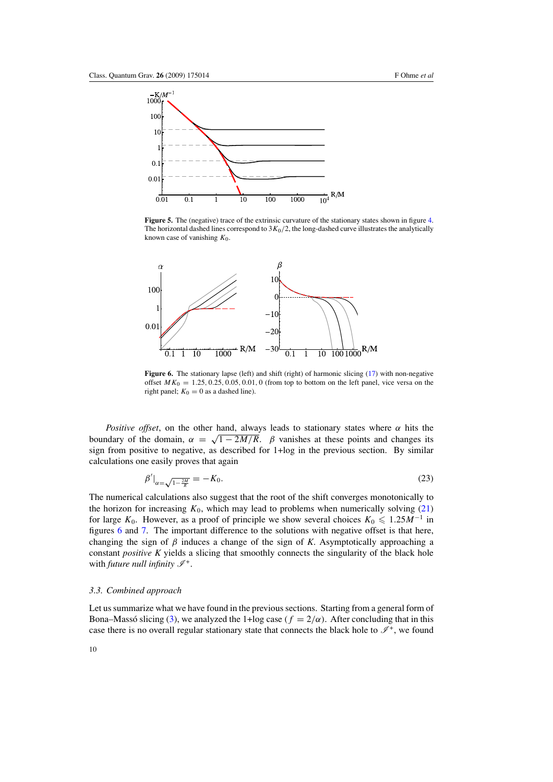<span id="page-9-0"></span>

**Figure 5.** The (negative) trace of the extrinsic curvature of the stationary states shown in figure [4.](#page-8-0) The horizontal dashed lines correspond to  $3K_0/2$ , the long-dashed curve illustrates the analytically known case of vanishing *K*0.



**Figure 6.** The stationary lapse (left) and shift (right) of harmonic slicing [\(17\)](#page-7-0) with non-negative offset  $MK_0 = 1.25, 0.25, 0.05, 0.01, 0$  (from top to bottom on the left panel, vice versa on the right panel;  $K_0 = 0$  as a dashed line).

*Positive offset*, on the other hand, always leads to stationary states where *α* hits the boundary of the domain,  $\alpha = \sqrt{1 - 2M/R}$ . *β* vanishes at these points and changes its sign from positive to negative, as described for 1+log in the previous section. By similar calculations one easily proves that again

$$
\beta'|_{\alpha=\sqrt{1-\frac{2M}{R}}}=-K_0.\tag{23}
$$

The numerical calculations also suggest that the root of the shift converges monotonically to the horizon for increasing  $K_0$ , which may lead to problems when numerically solving  $(21)$ for large  $K_0$ . However, as a proof of principle we show several choices  $K_0 \leq 1.25M^{-1}$  in figures 6 and [7.](#page-10-0) The important difference to the solutions with negative offset is that here, changing the sign of  $\beta$  induces a change of the sign of *K*. Asymptotically approaching a constant *positive K* yields a slicing that smoothly connects the singularity of the black hole with *future null infinity*  $\mathscr{I}^+$ .

#### *3.3. Combined approach*

Let us summarize what we have found in the previous sections. Starting from a general form of Bona–Massó slicing ([3\)](#page-3-0), we analyzed the 1+log case  $(f = 2/\alpha)$ . After concluding that in this case there is no overall regular stationary state that connects the black hole to  $\mathscr{I}^+$ , we found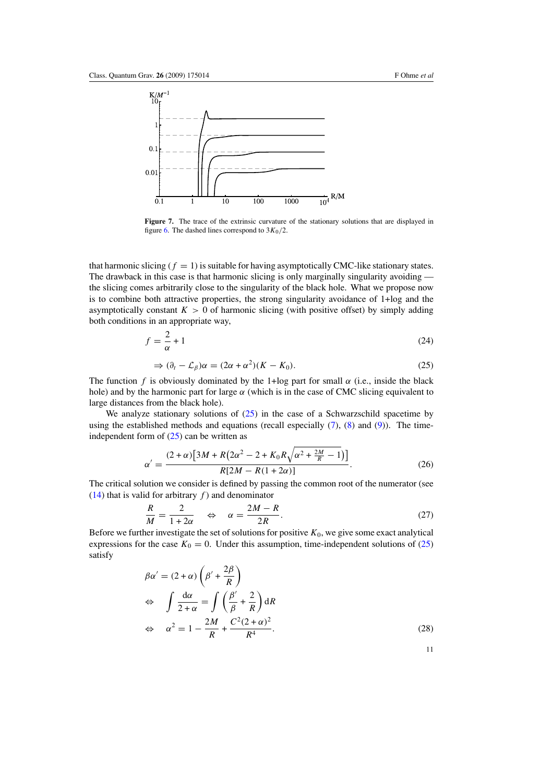<span id="page-10-0"></span>

**Figure 7.** The trace of the extrinsic curvature of the stationary solutions that are displayed in figure [6.](#page-9-0) The dashed lines correspond to  $3K_0/2$ .

that harmonic slicing  $(f = 1)$  is suitable for having asymptotically CMC-like stationary states. The drawback in this case is that harmonic slicing is only marginally singularity avoiding the slicing comes arbitrarily close to the singularity of the black hole. What we propose now is to combine both attractive properties, the strong singularity avoidance of 1+log and the asymptotically constant  $K > 0$  of harmonic slicing (with positive offset) by simply adding both conditions in an appropriate way,

$$
f = \frac{2}{\alpha} + 1\tag{24}
$$

$$
\Rightarrow (\partial_t - \mathcal{L}_\beta)\alpha = (2\alpha + \alpha^2)(K - K_0). \tag{25}
$$

The function *f* is obviously dominated by the 1+log part for small  $\alpha$  (i.e., inside the black hole) and by the harmonic part for large  $\alpha$  (which is in the case of CMC slicing equivalent to large distances from the black hole).

We analyze stationary solutions of  $(25)$  in the case of a Schwarzschild spacetime by using the established methods and equations (recall especially  $(7)$ ,  $(8)$  and  $(9)$ ). The timeindependent form of  $(25)$  can be written as

$$
\alpha' = \frac{(2+\alpha)\left[3M + R\left(2\alpha^2 - 2 + K_0R\sqrt{\alpha^2 + \frac{2M}{R} - 1}\right)\right]}{R[2M - R(1 + 2\alpha)]}.
$$
\n(26)

The critical solution we consider is defined by passing the common root of the numerator (see [\(14\)](#page-5-0) that is valid for arbitrary  $f$ ) and denominator

$$
\frac{R}{M} = \frac{2}{1+2\alpha} \quad \Leftrightarrow \quad \alpha = \frac{2M - R}{2R}.\tag{27}
$$

Before we further investigate the set of solutions for positive  $K_0$ , we give some exact analytical expressions for the case  $K_0 = 0$ . Under this assumption, time-independent solutions of (25) satisfy

$$
\beta \alpha' = (2 + \alpha) \left( \beta' + \frac{2\beta}{R} \right)
$$
  
\n
$$
\Leftrightarrow \int \frac{d\alpha}{2 + \alpha} = \int \left( \frac{\beta'}{\beta} + \frac{2}{R} \right) dR
$$
  
\n
$$
\Leftrightarrow \alpha^2 = 1 - \frac{2M}{R} + \frac{C^2 (2 + \alpha)^2}{R^4}.
$$
\n(28)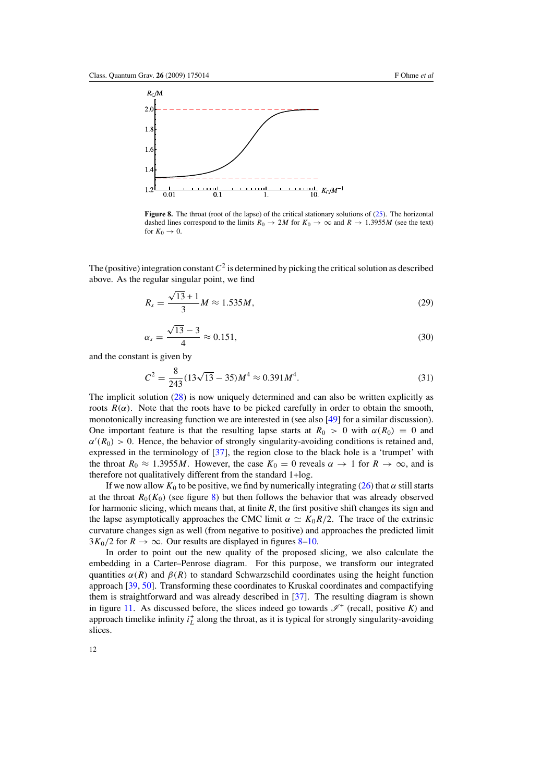

**Figure 8.** The throat (root of the lapse) of the critical stationary solutions of [\(25\)](#page-10-0). The horizontal dashed lines correspond to the limits  $R_0 \rightarrow 2M$  for  $K_0 \rightarrow \infty$  and  $R \rightarrow 1.3955M$  (see the text) for  $K_0 \rightarrow 0$ .

The (positive) integration constant  $C^2$  is determined by picking the critical solution as described above. As the regular singular point, we find

$$
R_s = \frac{\sqrt{13} + 1}{3} M \approx 1.535 M,
$$
 (29)

$$
\alpha_s = \frac{\sqrt{13} - 3}{4} \approx 0.151,\tag{30}
$$

and the constant is given by

$$
C^2 = \frac{8}{243}(13\sqrt{13} - 35)M^4 \approx 0.391M^4. \tag{31}
$$

The implicit solution [\(28\)](#page-10-0) is now uniquely determined and can also be written explicitly as roots  $R(\alpha)$ . Note that the roots have to be picked carefully in order to obtain the smooth, monotonically increasing function we are interested in (see also [\[49](#page-16-0)] for a similar discussion). One important feature is that the resulting lapse starts at  $R_0 > 0$  with  $\alpha(R_0) = 0$  and  $\alpha'(R_0) > 0$ . Hence, the behavior of strongly singularity-avoiding conditions is retained and, expressed in the terminology of [\[37\]](#page-15-0), the region close to the black hole is a 'trumpet' with the throat  $R_0 \approx 1.3955M$ . However, the case  $K_0 = 0$  reveals  $\alpha \to 1$  for  $R \to \infty$ , and is therefore not qualitatively different from the standard 1+log.

If we now allow  $K_0$  to be positive, we find by numerically integrating [\(26\)](#page-10-0) that  $\alpha$  still starts at the throat  $R_0(K_0)$  (see figure 8) but then follows the behavior that was already observed for harmonic slicing, which means that, at finite *R*, the first positive shift changes its sign and the lapse asymptotically approaches the CMC limit  $\alpha \simeq K_0 R/2$ . The trace of the extrinsic curvature changes sign as well (from negative to positive) and approaches the predicted limit  $3K_0/2$  for  $R \to \infty$ . Our results are displayed in figures 8[–10.](#page-12-0)

In order to point out the new quality of the proposed slicing, we also calculate the embedding in a Carter–Penrose diagram. For this purpose, we transform our integrated quantities  $\alpha(R)$  and  $\beta(R)$  to standard Schwarzschild coordinates using the height function approach [\[39](#page-15-0), [50\]](#page-16-0). Transforming these coordinates to Kruskal coordinates and compactifying them is straightforward and was already described in [\[37](#page-15-0)]. The resulting diagram is shown in figure [11.](#page-12-0) As discussed before, the slices indeed go towards  $\mathscr{I}^+$  (recall, positive *K*) and approach timelike infinity  $i_L^+$  along the throat, as it is typical for strongly singularity-avoiding slices.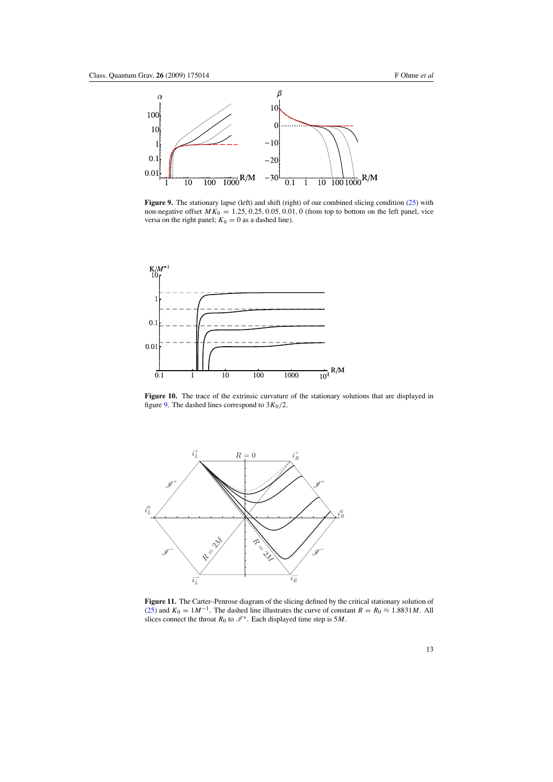<span id="page-12-0"></span>

**Figure 9.** The stationary lapse (left) and shift (right) of our combined slicing condition [\(25\)](#page-10-0) with non-negative offset  $MK_0 = 1.25, 0.25, 0.05, 0.01, 0$  (from top to bottom on the left panel, vice versa on the right panel;  $K_0 = 0$  as a dashed line).



**Figure 10.** The trace of the extrinsic curvature of the stationary solutions that are displayed in figure 9. The dashed lines correspond to  $3K_0/2$ .



**Figure 11.** The Carter–Penrose diagram of the slicing defined by the critical stationary solution of [\(25\)](#page-10-0) and  $K_0 = 1M^{-1}$ . The dashed line illustrates the curve of constant  $R = R_0 \approx 1.8831 M$ . All slices connect the throat  $R_0$  to  $\mathcal{I}^+$ . Each displayed time step is 5*M*.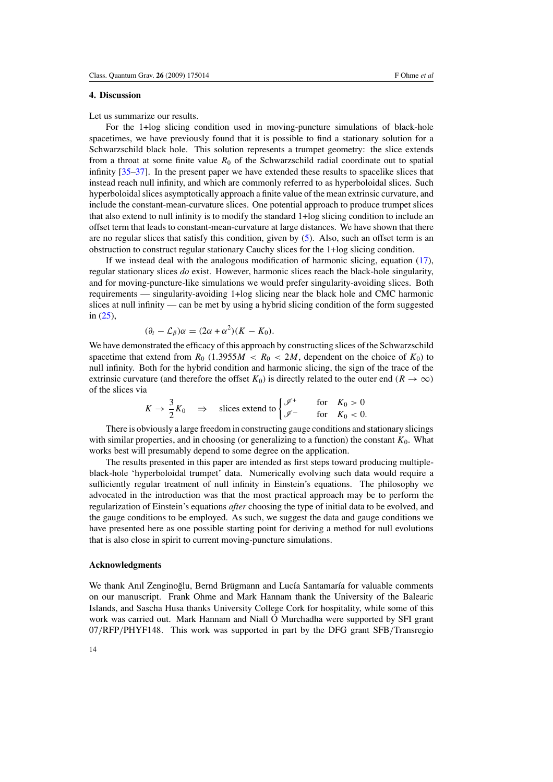# **4. Discussion**

Let us summarize our results.

For the 1+log slicing condition used in moving-puncture simulations of black-hole spacetimes, we have previously found that it is possible to find a stationary solution for a Schwarzschild black hole. This solution represents a trumpet geometry: the slice extends from a throat at some finite value  $R_0$  of the Schwarzschild radial coordinate out to spatial infinity [\[35–37\]](#page-15-0). In the present paper we have extended these results to spacelike slices that instead reach null infinity, and which are commonly referred to as hyperboloidal slices. Such hyperboloidal slices asymptotically approach a finite value of the mean extrinsic curvature, and include the constant-mean-curvature slices. One potential approach to produce trumpet slices that also extend to null infinity is to modify the standard 1+log slicing condition to include an offset term that leads to constant-mean-curvature at large distances. We have shown that there are no regular slices that satisfy this condition, given by [\(5\)](#page-4-0). Also, such an offset term is an obstruction to construct regular stationary Cauchy slices for the 1+log slicing condition.

If we instead deal with the analogous modification of harmonic slicing, equation [\(17\)](#page-7-0), regular stationary slices *do* exist. However, harmonic slices reach the black-hole singularity, and for moving-puncture-like simulations we would prefer singularity-avoiding slices. Both requirements — singularity-avoiding 1+log slicing near the black hole and CMC harmonic slices at null infinity — can be met by using a hybrid slicing condition of the form suggested in [\(25\)](#page-10-0),

$$
(\partial_t - \mathcal{L}_\beta)\alpha = (2\alpha + \alpha^2)(K - K_0).
$$

We have demonstrated the efficacy of this approach by constructing slices of the Schwarzschild spacetime that extend from  $R_0$  (1.3955 $M < R_0 < 2M$ , dependent on the choice of  $K_0$ ) to null infinity. Both for the hybrid condition and harmonic slicing, the sign of the trace of the extrinsic curvature (and therefore the offset  $K_0$ ) is directly related to the outer end  $(R \to \infty)$ of the slices via

$$
K \to \frac{3}{2} K_0 \quad \Rightarrow \quad \text{ slices extend to} \begin{cases} \mathcal{J}^+ & \text{for} \quad K_0 > 0 \\ \mathcal{J}^- & \text{for} \quad K_0 < 0. \end{cases}
$$

There is obviously a large freedom in constructing gauge conditions and stationary slicings with similar properties, and in choosing (or generalizing to a function) the constant  $K_0$ . What works best will presumably depend to some degree on the application.

The results presented in this paper are intended as first steps toward producing multipleblack-hole 'hyperboloidal trumpet' data. Numerically evolving such data would require a sufficiently regular treatment of null infinity in Einstein's equations. The philosophy we advocated in the introduction was that the most practical approach may be to perform the regularization of Einstein's equations *after* choosing the type of initial data to be evolved, and the gauge conditions to be employed. As such, we suggest the data and gauge conditions we have presented here as one possible starting point for deriving a method for null evolutions that is also close in spirit to current moving-puncture simulations.

#### **Acknowledgments**

We thank Anıl Zenginoğlu, Bernd Brügmann and Lucía Santamaría for valuable comments on our manuscript. Frank Ohme and Mark Hannam thank the University of the Balearic Islands, and Sascha Husa thanks University College Cork for hospitality, while some of this work was carried out. Mark Hannam and Niall Ó Murchadha were supported by SFI grant 07*/*RFP*/*PHYF148. This work was supported in part by the DFG grant SFB*/*Transregio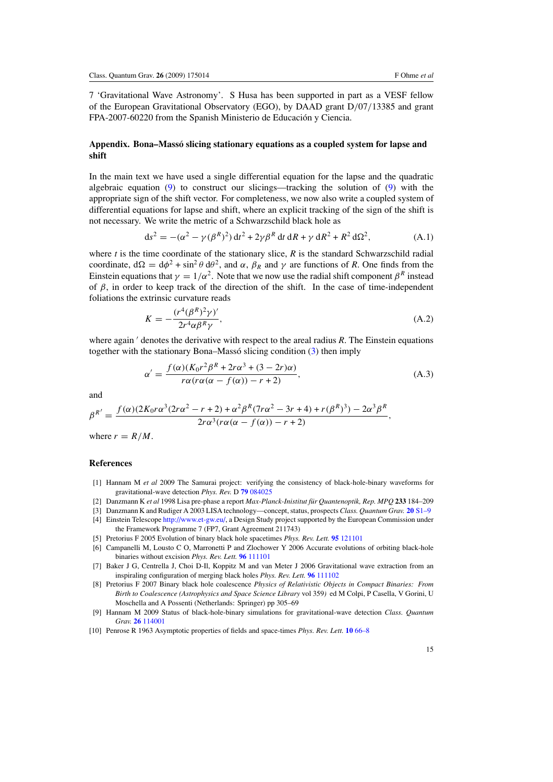<span id="page-14-0"></span>7 'Gravitational Wave Astronomy'. S Husa has been supported in part as a VESF fellow of the European Gravitational Observatory (EGO), by DAAD grant D*/*07*/*13385 and grant FPA-2007-60220 from the Spanish Ministerio de Educación y Ciencia.

# **Appendix. Bona–Masso slicing stationary equations as a coupled system for lapse and ´ shift**

In the main text we have used a single differential equation for the lapse and the quadratic algebraic equation  $(9)$  to construct our slicings—tracking the solution of  $(9)$  with the appropriate sign of the shift vector. For completeness, we now also write a coupled system of differential equations for lapse and shift, where an explicit tracking of the sign of the shift is not necessary. We write the metric of a Schwarzschild black hole as

$$
ds^{2} = -(\alpha^{2} - \gamma(\beta^{R})^{2}) dt^{2} + 2\gamma\beta^{R} dt dR + \gamma dR^{2} + R^{2} d\Omega^{2},
$$
 (A.1)

where *t* is the time coordinate of the stationary slice, *R* is the standard Schwarzschild radial coordinate,  $d\Omega = d\phi^2 + \sin^2 \theta d\theta^2$ , and  $\alpha$ ,  $\beta_R$  and  $\gamma$  are functions of *R*. One finds from the Einstein equations that  $\gamma = 1/\alpha^2$ . Note that we now use the radial shift component  $\beta^R$  instead of *β*, in order to keep track of the direction of the shift. In the case of time-independent foliations the extrinsic curvature reads

$$
K = -\frac{(r^4(\beta^R)^2 \gamma)'}{2r^4 \alpha \beta^R \gamma},\tag{A.2}
$$

where again ' denotes the derivative with respect to the areal radius *R*. The Einstein equations together with the stationary Bona–Massó slicing condition  $(3)$  $(3)$  then imply

$$
\alpha' = \frac{f(\alpha)(K_0r^2\beta^R + 2r\alpha^3 + (3 - 2r)\alpha)}{r\alpha(r\alpha(\alpha - f(\alpha)) - r + 2)},
$$
\n(A.3)

and

$$
\beta^{R'} = \frac{f(\alpha)(2K_0r\alpha^3(2r\alpha^2 - r + 2) + \alpha^2\beta^R(7r\alpha^2 - 3r + 4) + r(\beta^R)^3) - 2\alpha^3\beta^R}{2r\alpha^3(r\alpha(\alpha - f(\alpha)) - r + 2)},
$$

where  $r = R/M$ .

### **References**

- [1] Hannam M *et al* 2009 The Samurai project: verifying the consistency of black-hole-binary waveforms for gravitational-wave detection *Phys. Rev.* D **79** [084025](http://dx.doi.org/10.1103/PhysRevD.79.084025)
- [2] Danzmann K et al 1998 Lisa pre-phase a report *Max-Planck-Inistitut für Quantenoptik, Rep. MPQ* 233 184–209
- [3] Danzmann K and Rudiger A 2003 LISA technology—concept, status, prospects *Class. Quantum Grav.* **20** [S1–9](http://dx.doi.org/10.1088/0264-9381/20/10/301) [4] Einstein Telescope [http://www.et-gw.eu/,](http://www.et-gw.eu/) a Design Study project supported by the European Commission under
- the Framework Programme 7 (FP7, Grant Agreement 211743)
- [5] Pretorius F 2005 Evolution of binary black hole spacetimes *Phys. Rev. Lett.* **95** [121101](http://dx.doi.org/10.1103/PhysRevLett.95.121101)
- [6] Campanelli M, Lousto C O, Marronetti P and Zlochower Y 2006 Accurate evolutions of orbiting black-hole binaries without excision *Phys. Rev. Lett.* **96** [111101](http://dx.doi.org/10.1103/PhysRevLett.96.111101)
- [7] Baker J G, Centrella J, Choi D-Il, Koppitz M and van Meter J 2006 Gravitational wave extraction from an inspiraling configuration of merging black holes *Phys. Rev. Lett.* **96** [111102](http://dx.doi.org/10.1103/PhysRevLett.96.111102)
- [8] Pretorius F 2007 Binary black hole coalescence *Physics of Relativistic Objects in Compact Binaries: From Birth to Coalescence (Astrophysics and Space Science Library* vol 359*)* ed M Colpi, P Casella, V Gorini, U Moschella and A Possenti (Netherlands: Springer) pp 305–69
- [9] Hannam M 2009 Status of black-hole-binary simulations for gravitational-wave detection *Class. Quantum Grav.* **26** [114001](http://dx.doi.org/10.1088/0264-9381/26/11/114001)
- [10] Penrose R 1963 Asymptotic properties of fields and space-times *Phys. Rev. Lett.* **10** [66–8](http://dx.doi.org/10.1103/PhysRevLett.10.66)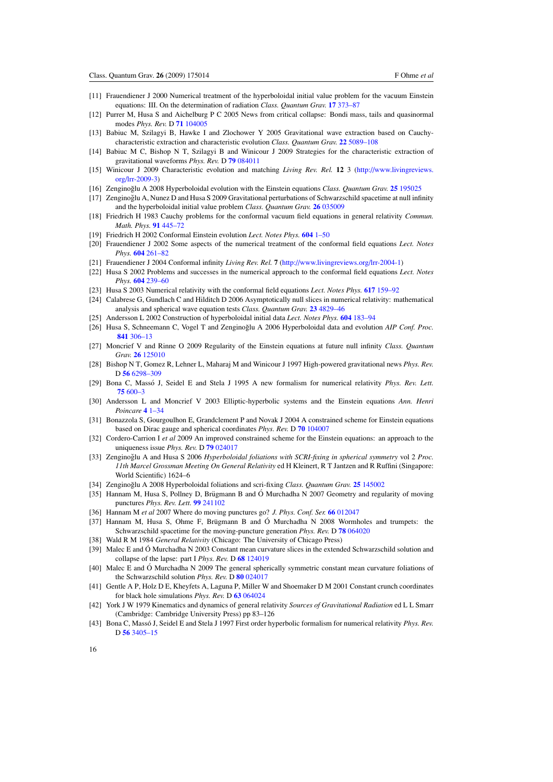- <span id="page-15-0"></span>[11] Frauendiener J 2000 Numerical treatment of the hyperboloidal initial value problem for the vacuum Einstein equations: III. On the determination of radiation *Class. Quantum Grav.* **17** [373–87](http://dx.doi.org/10.1088/0264-9381/17/2/308)
- [12] Purrer M, Husa S and Aichelburg P C 2005 News from critical collapse: Bondi mass, tails and quasinormal modes *Phys. Rev.* D **71** [104005](http://dx.doi.org/10.1103/PhysRevD.71.104005)
- [13] Babiuc M, Szilagyi B, Hawke I and Zlochower Y 2005 Gravitational wave extraction based on Cauchycharacteristic extraction and characteristic evolution *Class. Quantum Grav.* **22** [5089–108](http://dx.doi.org/10.1088/0264-9381/22/23/011)
- [14] Babiuc M C, Bishop N T, Szilagyi B and Winicour J 2009 Strategies for the characteristic extraction of gravitational waveforms *Phys. Rev.* D **79** [084011](http://dx.doi.org/10.1103/PhysRevD.79.084011)
- [15] Winicour J 2009 Characteristic evolution and matching *Living Rev. Rel.* **12** 3 [\(http://www.livingreviews.](http://www.livingreviews.org/lrr-2009-3) [org/lrr-2009-3\)](http://www.livingreviews.org/lrr-2009-3)
- [16] Zenginoğlu A 2008 Hyperboloidal evolution with the Einstein equations Class. Quantum Grav. 25 [195025](http://dx.doi.org/10.1088/0264-9381/25/19/195025)
- [17] Zenginoglu A, Nunez D and Husa S 2009 Gravitational perturbations of Schwarzschild spacetime at null infinity ˘ and the hyperboloidal initial value problem *Class. Quantum Grav.* **26** [035009](http://dx.doi.org/10.1088/0264-9381/26/3/035009)
- [18] Friedrich H 1983 Cauchy problems for the conformal vacuum field equations in general relativity *Commun. Math. Phys.* **91** [445–72](http://dx.doi.org/10.1007/BF01206015)
- [19] Friedrich H 2002 Conformal Einstein evolution *Lect. Notes Phys.* **604** [1–50](http://dx.doi.org/10.1007/3-540-45818-2_1)
- [20] Frauendiener J 2002 Some aspects of the numerical treatment of the conformal field equations *Lect. Notes Phys.* **604** [261–82](http://dx.doi.org/10.1007/3-540-45818-2_13)
- [21] Frauendiener J 2004 Conformal infinity *Living Rev. Rel.* **7** [\(http://www.livingreviews.org/lrr-2004-1\)](http://www.livingreviews.org/lrr-2004-1)
- [22] Husa S 2002 Problems and successes in the numerical approach to the conformal field equations *Lect. Notes Phys.* **604** [239–60](http://dx.doi.org/10.1007/3-540-45818-2_12)
- [23] Husa S 2003 Numerical relativity with the conformal field equations *Lect. Notes Phys.* **617** [159–92](http://dx.doi.org/10.1007/3-540-36973-2_9)
- [24] Calabrese G, Gundlach C and Hilditch D 2006 Asymptotically null slices in numerical relativity: mathematical analysis and spherical wave equation tests *Class. Quantum Grav.* **23** [4829–46](http://dx.doi.org/10.1088/0264-9381/23/15/004)
- [25] Andersson L 2002 Construction of hyperboloidal initial data *Lect. Notes Phys.* **604** [183–94](http://dx.doi.org/10.1007/3-540-45818-2_9)
- [26] Husa S, Schneemann C, Vogel T and Zenginoğlu A 2006 Hyperboloidal data and evolution AIP Conf. Proc. **841** [306–13](http://dx.doi.org/10.1063/1.2218186)
- [27] Moncrief V and Rinne O 2009 Regularity of the Einstein equations at future null infinity *Class. Quantum Grav.* **26** [125010](http://dx.doi.org/10.1088/0264-9381/26/12/125010)
- [28] Bishop N T, Gomez R, Lehner L, Maharaj M and Winicour J 1997 High-powered gravitational news *Phys. Rev.* D **56** [6298–309](http://dx.doi.org/10.1103/PhysRevD.56.6298)
- [29] Bona C, Massó J, Seidel E and Stela J 1995 A new formalism for numerical relativity *Phys. Rev. Lett.* **75** [600–3](http://dx.doi.org/10.1103/PhysRevLett.75.600)
- [30] Andersson L and Moncrief V 2003 Elliptic-hyperbolic systems and the Einstein equations *Ann. Henri Poincare* **4** [1–34](http://dx.doi.org/10.1007/s00023-003-0901-6)
- [31] Bonazzola S, Gourgoulhon E, Grandclement P and Novak J 2004 A constrained scheme for Einstein equations based on Dirac gauge and spherical coordinates *Phys. Rev.* D **70** [104007](http://dx.doi.org/10.1103/PhysRevD.70.104007)
- [32] Cordero-Carrion I *et al* 2009 An improved constrained scheme for the Einstein equations: an approach to the uniqueness issue *Phys. Rev.* D **79** [024017](http://dx.doi.org/10.1103/PhysRevD.79.024017)
- [33] Zenginoğlu A and Husa S 2006 Hyperboloidal foliations with SCRI-fixing in spherical symmetry vol 2 Proc. *11th Marcel Grossman Meeting On General Relativity* ed H Kleinert, R T Jantzen and R Ruffini (Singapore: World Scientific) 1624–6
- [34] Zenginoğlu A 2008 Hyperboloidal foliations and scri-fixing *Class. Quantum Grav.* 25 [145002](http://dx.doi.org/10.1088/0264-9381/25/14/145002)
- [35] Hannam M, Husa S, Pollney D, Brügmann B and Ó Murchadha N 2007 Geometry and regularity of moving punctures *Phys. Rev. Lett.* **99** [241102](http://dx.doi.org/10.1103/PhysRevLett.99.241102)
- [36] Hannam M *et al* 2007 Where do moving punctures go? *J. Phys. Conf. Ser.* **66** [012047](http://dx.doi.org/10.1088/1742-6596/66/1/012047)
- [37] Hannam M, Husa S, Ohme F, Brügmann B and Ó Murchadha N 2008 Wormholes and trumpets: the Schwarzschild spacetime for the moving-puncture generation *Phys. Rev.* D **78** [064020](http://dx.doi.org/10.1103/PhysRevD.78.064020)
- [38] Wald R M 1984 *General Relativity* (Chicago: The University of Chicago Press)
- [39] Malec E and O Murchadha N 2003 Constant mean curvature slices in the extended Schwarzschild solution and ´ collapse of the lapse: part I *Phys. Rev.* D **68** [124019](http://dx.doi.org/10.1103/PhysRevD.68.124019)
- [40] Malec E and O Murchadha N 2009 The general spherically symmetric constant mean curvature foliations of ´ the Schwarzschild solution *Phys. Rev.* D **80** [024017](http://dx.doi.org/10.1103/PhysRevD.80.024017)
- [41] Gentle A P, Holz D E, Kheyfets A, Laguna P, Miller W and Shoemaker D M 2001 Constant crunch coordinates for black hole simulations *Phys. Rev.* D **63** [064024](http://dx.doi.org/10.1103/PhysRevD.63.064024)
- [42] York J W 1979 Kinematics and dynamics of general relativity *Sources of Gravitational Radiation* ed L L Smarr (Cambridge: Cambridge University Press) pp 83–126
- [43] Bona C, Massó J, Seidel E and Stela J 1997 First order hyperbolic formalism for numerical relativity *Phys. Rev.* D **56** [3405–15](http://dx.doi.org/10.1103/PhysRevD.56.3405)